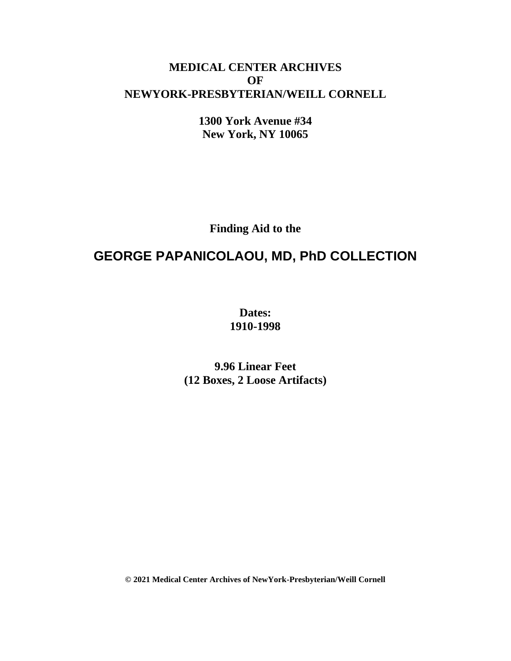## **MEDICAL CENTER ARCHIVES OF NEWYORK-PRESBYTERIAN/WEILL CORNELL**

**1300 York Avenue #34 New York, NY 10065**

**Finding Aid to the**

# **GEORGE PAPANICOLAOU, MD, PhD COLLECTION**

**Dates: 1910-1998**

**9.96 Linear Feet (12 Boxes, 2 Loose Artifacts)**

**© 2021 Medical Center Archives of NewYork-Presbyterian/Weill Cornell**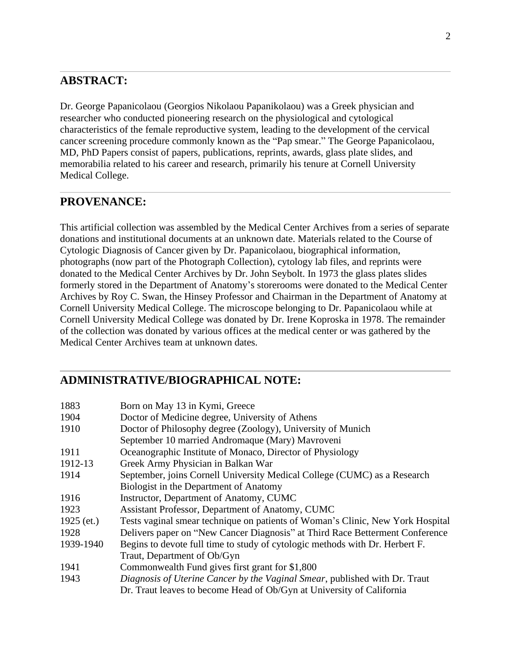## **ABSTRACT:**

Dr. George Papanicolaou (Georgios Nikolaou Papanikolaou) was a Greek physician and researcher who conducted pioneering research on the physiological and cytological characteristics of the female reproductive system, leading to the development of the cervical cancer screening procedure commonly known as the "Pap smear." The George Papanicolaou, MD, PhD Papers consist of papers, publications, reprints, awards, glass plate slides, and memorabilia related to his career and research, primarily his tenure at Cornell University Medical College.

## **PROVENANCE:**

This artificial collection was assembled by the Medical Center Archives from a series of separate donations and institutional documents at an unknown date. Materials related to the Course of Cytologic Diagnosis of Cancer given by Dr. Papanicolaou, biographical information, photographs (now part of the Photograph Collection), cytology lab files, and reprints were donated to the Medical Center Archives by Dr. John Seybolt. In 1973 the glass plates slides formerly stored in the Department of Anatomy's storerooms were donated to the Medical Center Archives by Roy C. Swan, the Hinsey Professor and Chairman in the Department of Anatomy at Cornell University Medical College. The microscope belonging to Dr. Papanicolaou while at Cornell University Medical College was donated by Dr. Irene Koproska in 1978. The remainder of the collection was donated by various offices at the medical center or was gathered by the Medical Center Archives team at unknown dates.

### **ADMINISTRATIVE/BIOGRAPHICAL NOTE:**

| 1883         | Born on May 13 in Kymi, Greece                                                 |
|--------------|--------------------------------------------------------------------------------|
| 1904         | Doctor of Medicine degree, University of Athens                                |
| 1910         | Doctor of Philosophy degree (Zoology), University of Munich                    |
|              | September 10 married Andromaque (Mary) Mavroveni                               |
| 1911         | Oceanographic Institute of Monaco, Director of Physiology                      |
| 1912-13      | Greek Army Physician in Balkan War                                             |
| 1914         | September, joins Cornell University Medical College (CUMC) as a Research       |
|              | Biologist in the Department of Anatomy                                         |
| 1916         | Instructor, Department of Anatomy, CUMC                                        |
| 1923         | Assistant Professor, Department of Anatomy, CUMC                               |
| $1925$ (et.) | Tests vaginal smear technique on patients of Woman's Clinic, New York Hospital |
| 1928         | Delivers paper on "New Cancer Diagnosis" at Third Race Betterment Conference   |
| 1939-1940    | Begins to devote full time to study of cytologic methods with Dr. Herbert F.   |
|              | Traut, Department of Ob/Gyn                                                    |
| 1941         | Commonwealth Fund gives first grant for \$1,800                                |
| 1943         | Diagnosis of Uterine Cancer by the Vaginal Smear, published with Dr. Traut     |
|              | Dr. Traut leaves to become Head of Ob/Gyn at University of California          |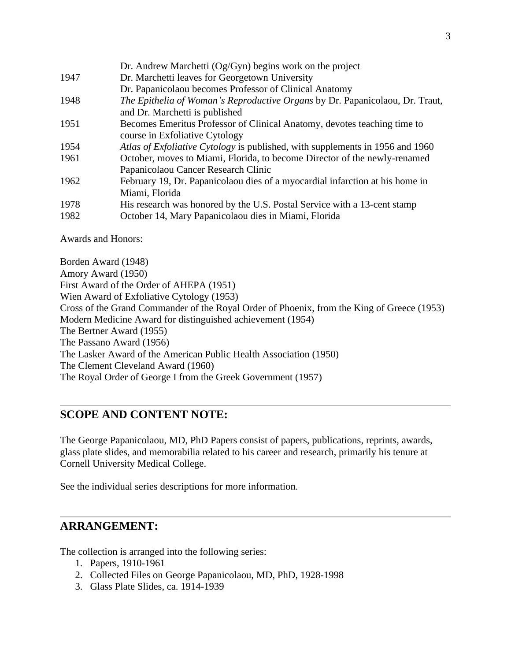|      | Dr. Andrew Marchetti $Og/Gyn$ ) begins work on the project                    |
|------|-------------------------------------------------------------------------------|
| 1947 | Dr. Marchetti leaves for Georgetown University                                |
|      | Dr. Papanicolaou becomes Professor of Clinical Anatomy                        |
| 1948 | The Epithelia of Woman's Reproductive Organs by Dr. Papanicolaou, Dr. Traut,  |
|      | and Dr. Marchetti is published                                                |
| 1951 | Becomes Emeritus Professor of Clinical Anatomy, devotes teaching time to      |
|      | course in Exfoliative Cytology                                                |
| 1954 | Atlas of Exfoliative Cytology is published, with supplements in 1956 and 1960 |
| 1961 | October, moves to Miami, Florida, to become Director of the newly-renamed     |
|      | Papanicolaou Cancer Research Clinic                                           |
| 1962 | February 19, Dr. Papanicolaou dies of a myocardial infarction at his home in  |
|      | Miami, Florida                                                                |
| 1978 | His research was honored by the U.S. Postal Service with a 13-cent stamp      |
| 1982 | October 14, Mary Papanicolaou dies in Miami, Florida                          |

Awards and Honors:

Borden Award (1948) Amory Award (1950) First Award of the Order of AHEPA (1951) Wien Award of Exfoliative Cytology (1953) Cross of the Grand Commander of the Royal Order of Phoenix, from the King of Greece (1953) Modern Medicine Award for distinguished achievement (1954) The Bertner Award (1955) The Passano Award (1956) The Lasker Award of the American Public Health Association (1950) The Clement Cleveland Award (1960) The Royal Order of George I from the Greek Government (1957)

## **SCOPE AND CONTENT NOTE:**

The George Papanicolaou, MD, PhD Papers consist of papers, publications, reprints, awards, glass plate slides, and memorabilia related to his career and research, primarily his tenure at Cornell University Medical College.

See the individual series descriptions for more information.

### **ARRANGEMENT:**

The collection is arranged into the following series:

- 1. Papers, 1910-1961
- 2. Collected Files on George Papanicolaou, MD, PhD, 1928-1998
- 3. Glass Plate Slides, ca. 1914-1939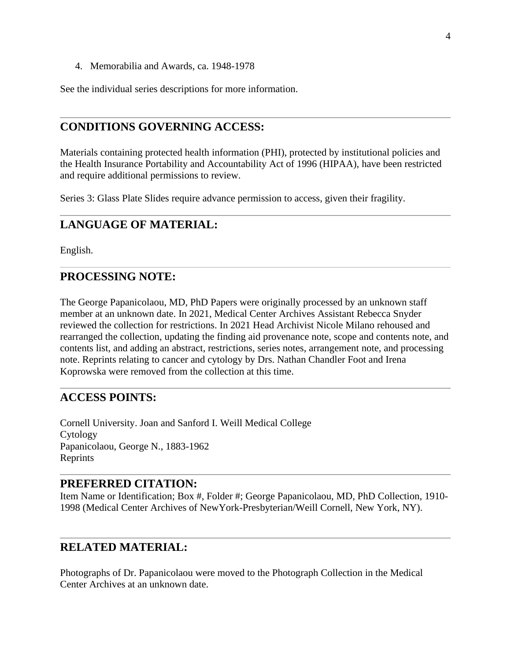4. Memorabilia and Awards, ca. 1948-1978

See the individual series descriptions for more information.

### **CONDITIONS GOVERNING ACCESS:**

Materials containing protected health information (PHI), protected by institutional policies and the Health Insurance Portability and Accountability Act of 1996 (HIPAA), have been restricted and require additional permissions to review.

Series 3: Glass Plate Slides require advance permission to access, given their fragility.

### **LANGUAGE OF MATERIAL:**

English.

## **PROCESSING NOTE:**

The George Papanicolaou, MD, PhD Papers were originally processed by an unknown staff member at an unknown date. In 2021, Medical Center Archives Assistant Rebecca Snyder reviewed the collection for restrictions. In 2021 Head Archivist Nicole Milano rehoused and rearranged the collection, updating the finding aid provenance note, scope and contents note, and contents list, and adding an abstract, restrictions, series notes, arrangement note, and processing note. Reprints relating to cancer and cytology by Drs. Nathan Chandler Foot and Irena Koprowska were removed from the collection at this time.

### **ACCESS POINTS:**

Cornell University. Joan and Sanford I. Weill Medical College Cytology Papanicolaou, George N., 1883-1962 Reprints

#### **PREFERRED CITATION:**

Item Name or Identification; Box #, Folder #; George Papanicolaou, MD, PhD Collection, 1910- 1998 (Medical Center Archives of NewYork-Presbyterian/Weill Cornell, New York, NY).

### **RELATED MATERIAL:**

Photographs of Dr. Papanicolaou were moved to the Photograph Collection in the Medical Center Archives at an unknown date.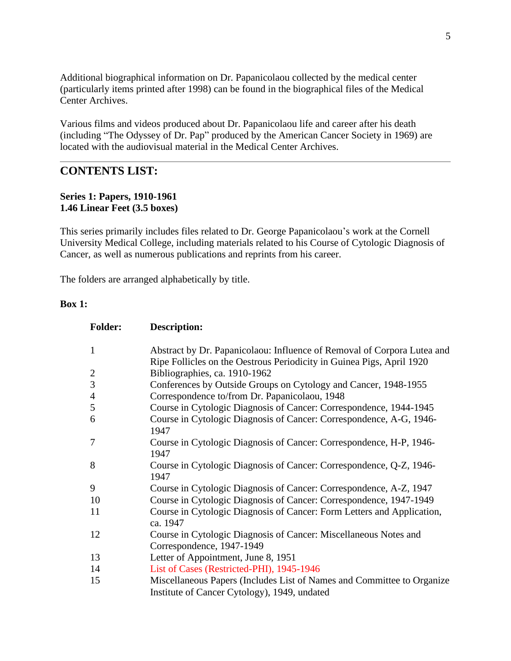Additional biographical information on Dr. Papanicolaou collected by the medical center (particularly items printed after 1998) can be found in the biographical files of the Medical Center Archives.

Various films and videos produced about Dr. Papanicolaou life and career after his death (including "The Odyssey of Dr. Pap" produced by the American Cancer Society in 1969) are located with the audiovisual material in the Medical Center Archives.

### **CONTENTS LIST:**

#### **Series 1: Papers, 1910-1961 1.46 Linear Feet (3.5 boxes)**

This series primarily includes files related to Dr. George Papanicolaou's work at the Cornell University Medical College, including materials related to his Course of Cytologic Diagnosis of Cancer, as well as numerous publications and reprints from his career.

The folders are arranged alphabetically by title.

#### **Box 1:**

| <b>Folder:</b>          | Description:                                                                                                           |
|-------------------------|------------------------------------------------------------------------------------------------------------------------|
| $\mathbf{1}$            | Abstract by Dr. Papanicolaou: Influence of Removal of Corpora Lutea and                                                |
|                         | Ripe Follicles on the Oestrous Periodicity in Guinea Pigs, April 1920                                                  |
| $\overline{\mathbf{c}}$ | Bibliographies, ca. 1910-1962                                                                                          |
| 3                       | Conferences by Outside Groups on Cytology and Cancer, 1948-1955                                                        |
| 4                       | Correspondence to/from Dr. Papanicolaou, 1948                                                                          |
| 5                       | Course in Cytologic Diagnosis of Cancer: Correspondence, 1944-1945                                                     |
| 6                       | Course in Cytologic Diagnosis of Cancer: Correspondence, A-G, 1946-<br>1947                                            |
| 7                       | Course in Cytologic Diagnosis of Cancer: Correspondence, H-P, 1946-<br>1947                                            |
| 8                       | Course in Cytologic Diagnosis of Cancer: Correspondence, Q-Z, 1946-<br>1947                                            |
| 9                       | Course in Cytologic Diagnosis of Cancer: Correspondence, A-Z, 1947                                                     |
| 10                      | Course in Cytologic Diagnosis of Cancer: Correspondence, 1947-1949                                                     |
| 11                      | Course in Cytologic Diagnosis of Cancer: Form Letters and Application,<br>ca. 1947                                     |
| 12                      | Course in Cytologic Diagnosis of Cancer: Miscellaneous Notes and                                                       |
|                         | Correspondence, 1947-1949                                                                                              |
| 13                      | Letter of Appointment, June 8, 1951                                                                                    |
| 14                      | List of Cases (Restricted-PHI), 1945-1946                                                                              |
| 15                      | Miscellaneous Papers (Includes List of Names and Committee to Organize<br>Institute of Cancer Cytology), 1949, undated |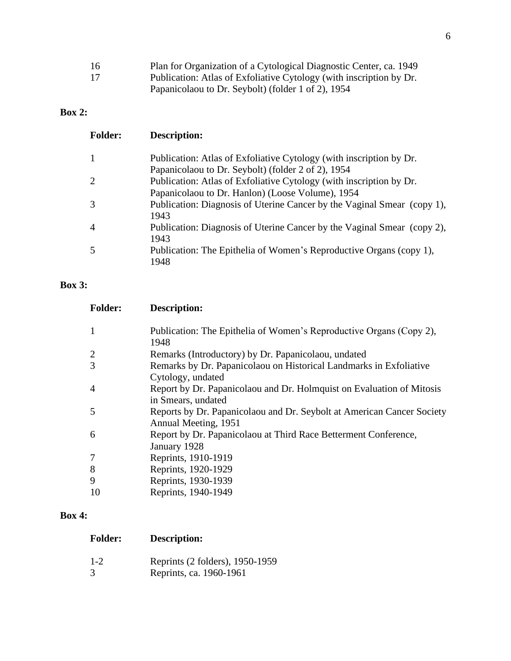| 16 | Plan for Organization of a Cytological Diagnostic Center, ca. 1949  |
|----|---------------------------------------------------------------------|
| 17 | Publication: Atlas of Exfoliative Cytology (with inscription by Dr. |
|    | Papanicolaou to Dr. Seybolt) (folder 1 of 2), 1954                  |

## **Box 2:**

| <b>Folder:</b> | <b>Description:</b>                                                                                                       |
|----------------|---------------------------------------------------------------------------------------------------------------------------|
|                | Publication: Atlas of Exfoliative Cytology (with inscription by Dr.<br>Papanicolaou to Dr. Seybolt) (folder 2 of 2), 1954 |
|                | Publication: Atlas of Exfoliative Cytology (with inscription by Dr.<br>Papanicolaou to Dr. Hanlon) (Loose Volume), 1954   |
|                | Publication: Diagnosis of Uterine Cancer by the Vaginal Smear (copy 1),<br>1943                                           |
| 4              | Publication: Diagnosis of Uterine Cancer by the Vaginal Smear (copy 2),<br>1943                                           |
|                | Publication: The Epithelia of Women's Reproductive Organs (copy 1),<br>1948                                               |

## **Box 3:**

| <b>Folder:</b> | Description:                                                                                   |
|----------------|------------------------------------------------------------------------------------------------|
|                | Publication: The Epithelia of Women's Reproductive Organs (Copy 2),<br>1948                    |
|                | Remarks (Introductory) by Dr. Papanicolaou, undated                                            |
| 3              | Remarks by Dr. Papanicolaou on Historical Landmarks in Exfoliative<br>Cytology, undated        |
| 4              | Report by Dr. Papanicolaou and Dr. Holmquist on Evaluation of Mitosis<br>in Smears, undated    |
| 5              | Reports by Dr. Papanicolaou and Dr. Seybolt at American Cancer Society<br>Annual Meeting, 1951 |
| 6              | Report by Dr. Papanicolaou at Third Race Betterment Conference,<br>January 1928                |
| 7              | Reprints, 1910-1919                                                                            |
| 8              | Reprints, 1920-1929                                                                            |
| 9              | Reprints, 1930-1939                                                                            |
| 10             | Reprints, 1940-1949                                                                            |

## **Box 4:**

1-2 Reprints (2 folders), 1950-1959 Reprints, ca. 1960-1961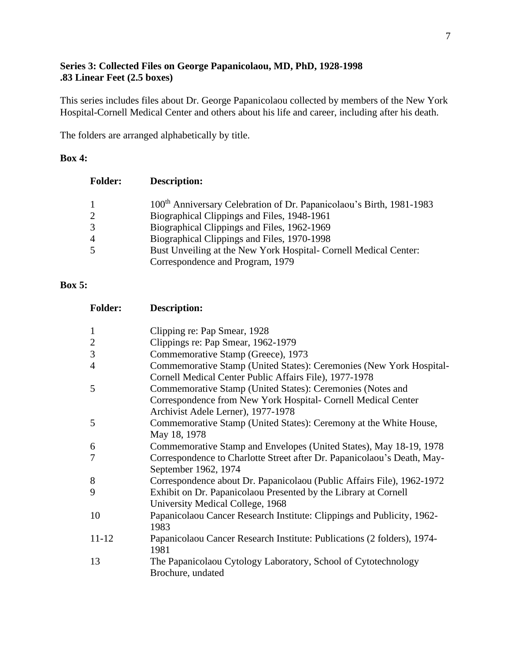#### **Series 3: Collected Files on George Papanicolaou, MD, PhD, 1928-1998 .83 Linear Feet (2.5 boxes)**

This series includes files about Dr. George Papanicolaou collected by members of the New York Hospital-Cornell Medical Center and others about his life and career, including after his death.

The folders are arranged alphabetically by title.

#### **Box 4:**

| <b>Folder:</b> | <b>Description:</b>                                                              |
|----------------|----------------------------------------------------------------------------------|
| $\overline{1}$ | 100 <sup>th</sup> Anniversary Celebration of Dr. Papanicolaou's Birth, 1981-1983 |
| 2              | Biographical Clippings and Files, 1948-1961                                      |
| $\mathcal{R}$  | Biographical Clippings and Files, 1962-1969                                      |
| $\overline{A}$ | Biographical Clippings and Files, 1970-1998                                      |
| -5             | Bust Unveiling at the New York Hospital- Cornell Medical Center:                 |
|                | Correspondence and Program, 1979                                                 |

#### **Box 5:**

| <b>Folder:</b> | <b>Description:</b>                                                                                                           |
|----------------|-------------------------------------------------------------------------------------------------------------------------------|
| $\mathbf{1}$   | Clipping re: Pap Smear, 1928                                                                                                  |
| $\overline{2}$ | Clippings re: Pap Smear, 1962-1979                                                                                            |
| $\mathfrak{Z}$ | Commemorative Stamp (Greece), 1973                                                                                            |
| 4              | Commemorative Stamp (United States): Ceremonies (New York Hospital-<br>Cornell Medical Center Public Affairs File), 1977-1978 |
| 5              | Commemorative Stamp (United States): Ceremonies (Notes and                                                                    |
|                | Correspondence from New York Hospital- Cornell Medical Center<br>Archivist Adele Lerner), 1977-1978                           |
| 5              | Commemorative Stamp (United States): Ceremony at the White House,<br>May 18, 1978                                             |
| 6              | Commemorative Stamp and Envelopes (United States), May 18-19, 1978                                                            |
| 7              | Correspondence to Charlotte Street after Dr. Papanicolaou's Death, May-<br>September 1962, 1974                               |
| 8              | Correspondence about Dr. Papanicolaou (Public Affairs File), 1962-1972                                                        |
| 9              | Exhibit on Dr. Papanicolaou Presented by the Library at Cornell<br>University Medical College, 1968                           |
| 10             | Papanicolaou Cancer Research Institute: Clippings and Publicity, 1962-<br>1983                                                |
| 11-12          | Papanicolaou Cancer Research Institute: Publications (2 folders), 1974-<br>1981                                               |
| 13             | The Papanicolaou Cytology Laboratory, School of Cytotechnology<br>Brochure, undated                                           |